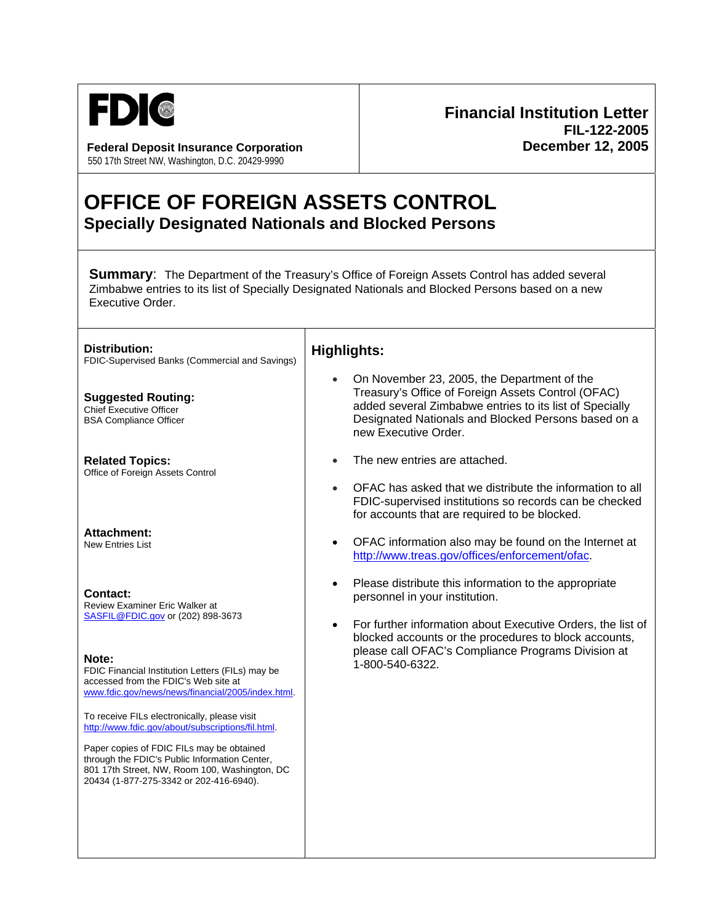

Federal Deposit Insurance Corporation **December 12, 2005** 550 17th Street NW, Washington, D.C. 20429-9990

# **Financial Institution Letter FIL-122-2005**

## **OFFICE OF FOREIGN ASSETS CONTROL Specially Designated Nationals and Blocked Persons**

**Summary:** The Department of the Treasury's Office of Foreign Assets Control has added several Zimbabwe entries to its list of Specially Designated Nationals and Blocked Persons based on a new Executive Order.

**Distribution:**  FDIC-Supervised Banks (Commercial and Savings)

**Suggested Routing:**  Chief Executive Officer BSA Compliance Officer

**Related Topics:**  Office of Foreign Assets Control

**Attachment:**  New Entries List

**Contact:**  Review Examiner Eric Walker at [SASFIL@FDIC.gov](mailto:SAS%20FIL@FDIC.gov) or (202) 898-3673

**Note:** 

FDIC Financial Institution Letters (FILs) may be accessed from the FDIC's Web site at [www.fdic.gov/news/news/financial/2005/index.html](http://www.fdic.gov/news/news/financial/2004/index.html).

To receive FILs electronically, please visit [http://www.fdic.gov/about/subscriptions/fil.html.](http://www.fdic.gov/about/subscriptions/index.html)

Paper copies of FDIC FILs may be obtained through the FDIC's Public Information Center, 801 17th Street, NW, Room 100, Washington, DC 20434 (1-877-275-3342 or 202-416-6940).

### **Highlights:**

- On November 23, 2005, the Department of the Treasury's Office of Foreign Assets Control (OFAC) added several Zimbabwe entries to its list of Specially Designated Nationals and Blocked Persons based on a new Executive Order.
- The new entries are attached.
- OFAC has asked that we distribute the information to all FDIC-supervised institutions so records can be checked for accounts that are required to be blocked.
- OFAC information also may be found on the Internet at <http://www.treas.gov/offices/enforcement/ofac>.
- Please distribute this information to the appropriate personnel in your institution.
- For further information about Executive Orders, the list of blocked accounts or the procedures to block accounts, please call OFAC's Compliance Programs Division at 1-800-540-6322.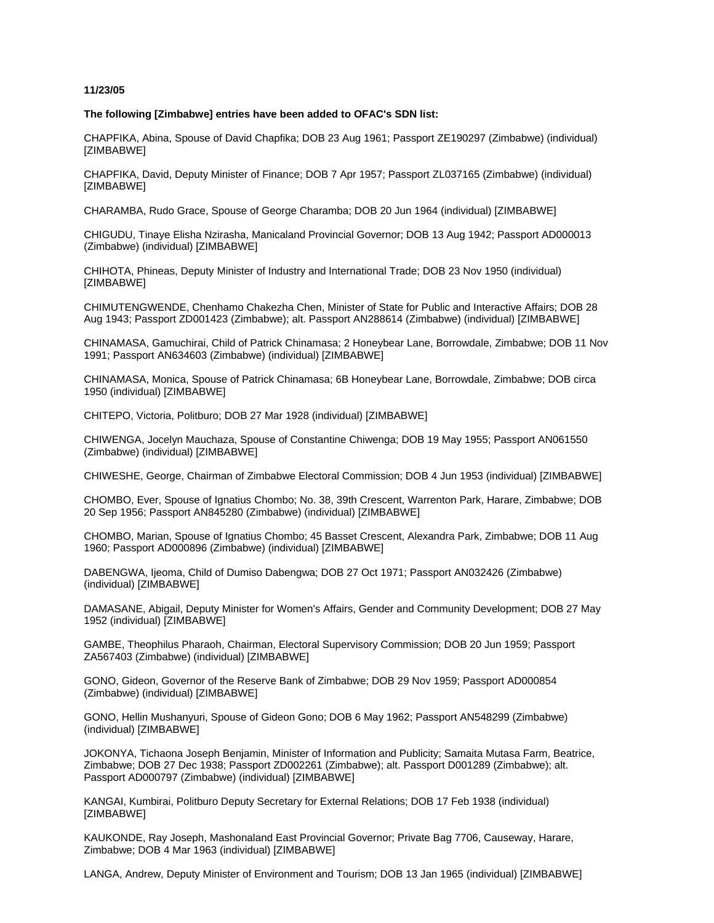### **11/23/05**

#### **The following [Zimbabwe] entries have been added to OFAC's SDN list:**

CHAPFIKA, Abina, Spouse of David Chapfika; DOB 23 Aug 1961; Passport ZE190297 (Zimbabwe) (individual) [ZIMBABWE]

CHAPFIKA, David, Deputy Minister of Finance; DOB 7 Apr 1957; Passport ZL037165 (Zimbabwe) (individual) [ZIMBABWE]

CHARAMBA, Rudo Grace, Spouse of George Charamba; DOB 20 Jun 1964 (individual) [ZIMBABWE]

CHIGUDU, Tinaye Elisha Nzirasha, Manicaland Provincial Governor; DOB 13 Aug 1942; Passport AD000013 (Zimbabwe) (individual) [ZIMBABWE]

CHIHOTA, Phineas, Deputy Minister of Industry and International Trade; DOB 23 Nov 1950 (individual) [ZIMBABWE]

CHIMUTENGWENDE, Chenhamo Chakezha Chen, Minister of State for Public and Interactive Affairs; DOB 28 Aug 1943; Passport ZD001423 (Zimbabwe); alt. Passport AN288614 (Zimbabwe) (individual) [ZIMBABWE]

CHINAMASA, Gamuchirai, Child of Patrick Chinamasa; 2 Honeybear Lane, Borrowdale, Zimbabwe; DOB 11 Nov 1991; Passport AN634603 (Zimbabwe) (individual) [ZIMBABWE]

CHINAMASA, Monica, Spouse of Patrick Chinamasa; 6B Honeybear Lane, Borrowdale, Zimbabwe; DOB circa 1950 (individual) [ZIMBABWE]

CHITEPO, Victoria, Politburo; DOB 27 Mar 1928 (individual) [ZIMBABWE]

CHIWENGA, Jocelyn Mauchaza, Spouse of Constantine Chiwenga; DOB 19 May 1955; Passport AN061550 (Zimbabwe) (individual) [ZIMBABWE]

CHIWESHE, George, Chairman of Zimbabwe Electoral Commission; DOB 4 Jun 1953 (individual) [ZIMBABWE]

CHOMBO, Ever, Spouse of Ignatius Chombo; No. 38, 39th Crescent, Warrenton Park, Harare, Zimbabwe; DOB 20 Sep 1956; Passport AN845280 (Zimbabwe) (individual) [ZIMBABWE]

CHOMBO, Marian, Spouse of Ignatius Chombo; 45 Basset Crescent, Alexandra Park, Zimbabwe; DOB 11 Aug 1960; Passport AD000896 (Zimbabwe) (individual) [ZIMBABWE]

DABENGWA, Ijeoma, Child of Dumiso Dabengwa; DOB 27 Oct 1971; Passport AN032426 (Zimbabwe) (individual) [ZIMBABWE]

DAMASANE, Abigail, Deputy Minister for Women's Affairs, Gender and Community Development; DOB 27 May 1952 (individual) [ZIMBABWE]

GAMBE, Theophilus Pharaoh, Chairman, Electoral Supervisory Commission; DOB 20 Jun 1959; Passport ZA567403 (Zimbabwe) (individual) [ZIMBABWE]

GONO, Gideon, Governor of the Reserve Bank of Zimbabwe; DOB 29 Nov 1959; Passport AD000854 (Zimbabwe) (individual) [ZIMBABWE]

GONO, Hellin Mushanyuri, Spouse of Gideon Gono; DOB 6 May 1962; Passport AN548299 (Zimbabwe) (individual) [ZIMBABWE]

JOKONYA, Tichaona Joseph Benjamin, Minister of Information and Publicity; Samaita Mutasa Farm, Beatrice, Zimbabwe; DOB 27 Dec 1938; Passport ZD002261 (Zimbabwe); alt. Passport D001289 (Zimbabwe); alt. Passport AD000797 (Zimbabwe) (individual) [ZIMBABWE]

KANGAI, Kumbirai, Politburo Deputy Secretary for External Relations; DOB 17 Feb 1938 (individual) [ZIMBABWE]

KAUKONDE, Ray Joseph, Mashonaland East Provincial Governor; Private Bag 7706, Causeway, Harare, Zimbabwe; DOB 4 Mar 1963 (individual) [ZIMBABWE]

LANGA, Andrew, Deputy Minister of Environment and Tourism; DOB 13 Jan 1965 (individual) [ZIMBABWE]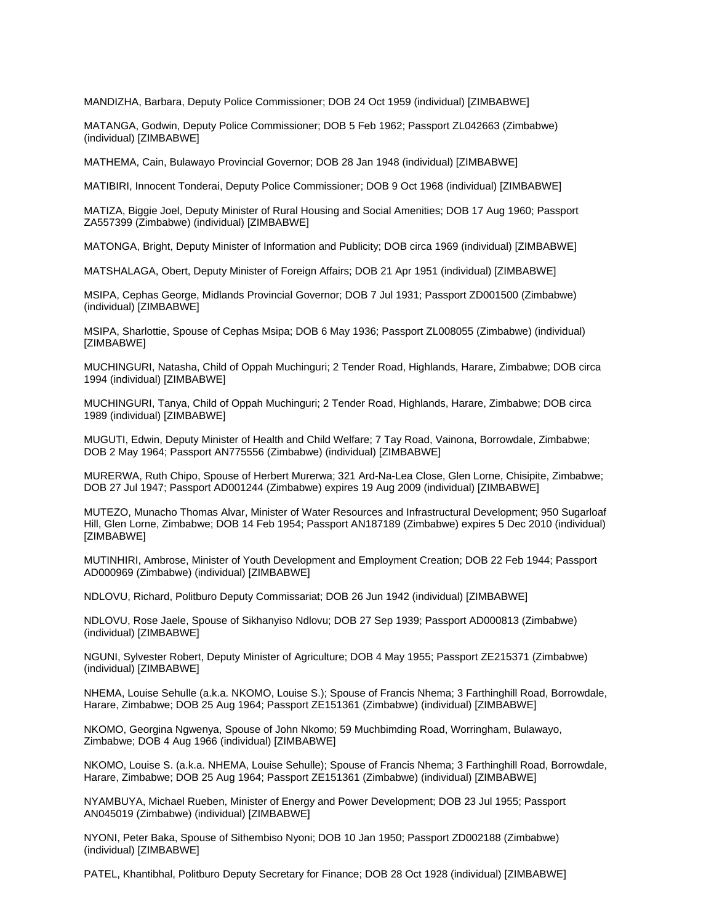MANDIZHA, Barbara, Deputy Police Commissioner; DOB 24 Oct 1959 (individual) [ZIMBABWE]

MATANGA, Godwin, Deputy Police Commissioner; DOB 5 Feb 1962; Passport ZL042663 (Zimbabwe) (individual) [ZIMBABWE]

MATHEMA, Cain, Bulawayo Provincial Governor; DOB 28 Jan 1948 (individual) [ZIMBABWE]

MATIBIRI, Innocent Tonderai, Deputy Police Commissioner; DOB 9 Oct 1968 (individual) [ZIMBABWE]

MATIZA, Biggie Joel, Deputy Minister of Rural Housing and Social Amenities; DOB 17 Aug 1960; Passport ZA557399 (Zimbabwe) (individual) [ZIMBABWE]

MATONGA, Bright, Deputy Minister of Information and Publicity; DOB circa 1969 (individual) [ZIMBABWE]

MATSHALAGA, Obert, Deputy Minister of Foreign Affairs; DOB 21 Apr 1951 (individual) [ZIMBABWE]

MSIPA, Cephas George, Midlands Provincial Governor; DOB 7 Jul 1931; Passport ZD001500 (Zimbabwe) (individual) [ZIMBABWE]

MSIPA, Sharlottie, Spouse of Cephas Msipa; DOB 6 May 1936; Passport ZL008055 (Zimbabwe) (individual) [ZIMBABWE]

MUCHINGURI, Natasha, Child of Oppah Muchinguri; 2 Tender Road, Highlands, Harare, Zimbabwe; DOB circa 1994 (individual) [ZIMBABWE]

MUCHINGURI, Tanya, Child of Oppah Muchinguri; 2 Tender Road, Highlands, Harare, Zimbabwe; DOB circa 1989 (individual) [ZIMBABWE]

MUGUTI, Edwin, Deputy Minister of Health and Child Welfare; 7 Tay Road, Vainona, Borrowdale, Zimbabwe; DOB 2 May 1964; Passport AN775556 (Zimbabwe) (individual) [ZIMBABWE]

MURERWA, Ruth Chipo, Spouse of Herbert Murerwa; 321 Ard-Na-Lea Close, Glen Lorne, Chisipite, Zimbabwe; DOB 27 Jul 1947; Passport AD001244 (Zimbabwe) expires 19 Aug 2009 (individual) [ZIMBABWE]

MUTEZO, Munacho Thomas Alvar, Minister of Water Resources and Infrastructural Development; 950 Sugarloaf Hill, Glen Lorne, Zimbabwe; DOB 14 Feb 1954; Passport AN187189 (Zimbabwe) expires 5 Dec 2010 (individual) [ZIMBABWE]

MUTINHIRI, Ambrose, Minister of Youth Development and Employment Creation; DOB 22 Feb 1944; Passport AD000969 (Zimbabwe) (individual) [ZIMBABWE]

NDLOVU, Richard, Politburo Deputy Commissariat; DOB 26 Jun 1942 (individual) [ZIMBABWE]

NDLOVU, Rose Jaele, Spouse of Sikhanyiso Ndlovu; DOB 27 Sep 1939; Passport AD000813 (Zimbabwe) (individual) [ZIMBABWE]

NGUNI, Sylvester Robert, Deputy Minister of Agriculture; DOB 4 May 1955; Passport ZE215371 (Zimbabwe) (individual) [ZIMBABWE]

NHEMA, Louise Sehulle (a.k.a. NKOMO, Louise S.); Spouse of Francis Nhema; 3 Farthinghill Road, Borrowdale, Harare, Zimbabwe; DOB 25 Aug 1964; Passport ZE151361 (Zimbabwe) (individual) [ZIMBABWE]

NKOMO, Georgina Ngwenya, Spouse of John Nkomo; 59 Muchbimding Road, Worringham, Bulawayo, Zimbabwe; DOB 4 Aug 1966 (individual) [ZIMBABWE]

NKOMO, Louise S. (a.k.a. NHEMA, Louise Sehulle); Spouse of Francis Nhema; 3 Farthinghill Road, Borrowdale, Harare, Zimbabwe; DOB 25 Aug 1964; Passport ZE151361 (Zimbabwe) (individual) [ZIMBABWE]

NYAMBUYA, Michael Rueben, Minister of Energy and Power Development; DOB 23 Jul 1955; Passport AN045019 (Zimbabwe) (individual) [ZIMBABWE]

NYONI, Peter Baka, Spouse of Sithembiso Nyoni; DOB 10 Jan 1950; Passport ZD002188 (Zimbabwe) (individual) [ZIMBABWE]

PATEL, Khantibhal, Politburo Deputy Secretary for Finance; DOB 28 Oct 1928 (individual) [ZIMBABWE]